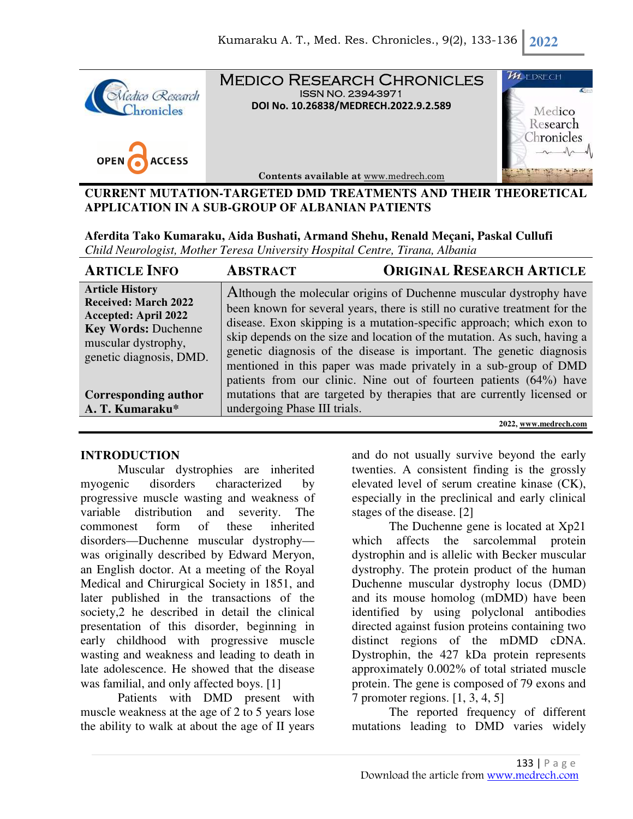

**OPEN ACCESS**  Medico Research Chronicles ISSN NO. 2394-3971 **DOI No. 10.26838/MEDRECH.2022.9.2.589**



**Contents available at** www.medrech.com

## **CURRENT MUTATION-TARGETED DMD TREATMENTS AND THEIR THEORETICAL APPLICATION IN A SUB-GROUP OF ALBANIAN PATIENTS**

**Aferdita Tako Kumaraku, Aida Bushati, Armand Shehu, Renald Meçani, Paskal Cullufi**  *Child Neurologist, Mother Teresa University Hospital Centre, Tirana, Albania* 

| <b>ARTICLE INFO</b>                                                                                                                                                  | <b>ABSTRACT</b>              | <b>ORIGINAL RESEARCH ARTICLE</b>                                                                                                                                                                                                                                                                                                                                                                                                                                                                                        |
|----------------------------------------------------------------------------------------------------------------------------------------------------------------------|------------------------------|-------------------------------------------------------------------------------------------------------------------------------------------------------------------------------------------------------------------------------------------------------------------------------------------------------------------------------------------------------------------------------------------------------------------------------------------------------------------------------------------------------------------------|
| <b>Article History</b><br><b>Received: March 2022</b><br><b>Accepted: April 2022</b><br><b>Key Words: Duchenne</b><br>muscular dystrophy,<br>genetic diagnosis, DMD. |                              | Although the molecular origins of Duchenne muscular dystrophy have<br>been known for several years, there is still no curative treatment for the<br>disease. Exon skipping is a mutation-specific approach; which exon to<br>skip depends on the size and location of the mutation. As such, having a<br>genetic diagnosis of the disease is important. The genetic diagnosis<br>mentioned in this paper was made privately in a sub-group of DMD<br>patients from our clinic. Nine out of fourteen patients (64%) have |
| <b>Corresponding author</b><br>A. T. Kumaraku*                                                                                                                       | undergoing Phase III trials. | mutations that are targeted by therapies that are currently licensed or                                                                                                                                                                                                                                                                                                                                                                                                                                                 |

**2022, www.medrech.com** 

## **INTRODUCTION**

Muscular dystrophies are inherited myogenic disorders characterized by progressive muscle wasting and weakness of variable distribution and severity. The commonest form of these inherited disorders—Duchenne muscular dystrophy was originally described by Edward Meryon, an English doctor. At a meeting of the Royal Medical and Chirurgical Society in 1851, and later published in the transactions of the society,2 he described in detail the clinical presentation of this disorder, beginning in early childhood with progressive muscle wasting and weakness and leading to death in late adolescence. He showed that the disease was familial, and only affected boys. [1]

Patients with DMD present with muscle weakness at the age of 2 to 5 years lose the ability to walk at about the age of II years

and do not usually survive beyond the early twenties. A consistent finding is the grossly elevated level of serum creatine kinase (CK), especially in the preclinical and early clinical stages of the disease. [2]

The Duchenne gene is located at Xp21 which affects the sarcolemmal protein dystrophin and is allelic with Becker muscular dystrophy. The protein product of the human Duchenne muscular dystrophy locus (DMD) and its mouse homolog (mDMD) have been identified by using polyclonal antibodies directed against fusion proteins containing two distinct regions of the mDMD cDNA. Dystrophin, the 427 kDa protein represents approximately 0.002% of total striated muscle protein. The gene is composed of 79 exons and 7 promoter regions. [1, 3, 4, 5]

The reported frequency of different mutations leading to DMD varies widely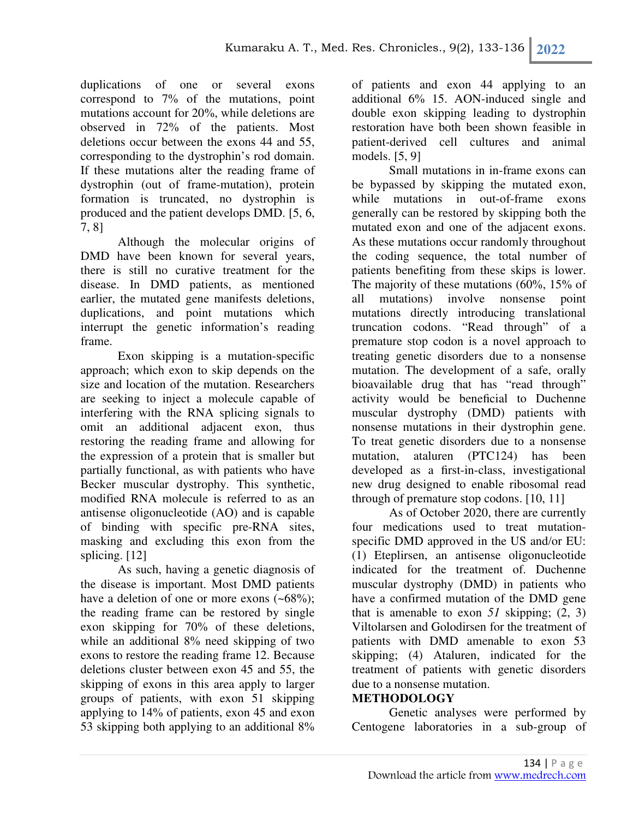duplications of one or several exons correspond to 7% of the mutations, point mutations account for 20%, while deletions are observed in 72% of the patients. Most deletions occur between the exons 44 and 55, corresponding to the dystrophin's rod domain. If these mutations alter the reading frame of dystrophin (out of frame-mutation), protein formation is truncated, no dystrophin is produced and the patient develops DMD. [5, 6, 7, 8]

Although the molecular origins of DMD have been known for several years, there is still no curative treatment for the disease. In DMD patients, as mentioned earlier, the mutated gene manifests deletions, duplications, and point mutations which interrupt the genetic information's reading frame.

Exon skipping is a mutation-specific approach; which exon to skip depends on the size and location of the mutation. Researchers are seeking to inject a molecule capable of interfering with the RNA splicing signals to omit an additional adjacent exon, thus restoring the reading frame and allowing for the expression of a protein that is smaller but partially functional, as with patients who have Becker muscular dystrophy. This synthetic, modified RNA molecule is referred to as an antisense oligonucleotide (AO) and is capable of binding with specific pre-RNA sites, masking and excluding this exon from the splicing. [12]

As such, having a genetic diagnosis of the disease is important. Most DMD patients have a deletion of one or more exons  $(-68\%)$ ; the reading frame can be restored by single exon skipping for 70% of these deletions, while an additional 8% need skipping of two exons to restore the reading frame 12. Because deletions cluster between exon 45 and 55, the skipping of exons in this area apply to larger groups of patients, with exon 51 skipping applying to 14% of patients, exon 45 and exon 53 skipping both applying to an additional 8%

of patients and exon 44 applying to an additional 6% 15. AON-induced single and double exon skipping leading to dystrophin restoration have both been shown feasible in patient-derived cell cultures and animal models. [5, 9]

Small mutations in in-frame exons can be bypassed by skipping the mutated exon, while mutations in out-of-frame exons generally can be restored by skipping both the mutated exon and one of the adjacent exons. As these mutations occur randomly throughout the coding sequence, the total number of patients benefiting from these skips is lower. The majority of these mutations (60%, 15% of all mutations) involve nonsense point mutations directly introducing translational truncation codons. "Read through" of a premature stop codon is a novel approach to treating genetic disorders due to a nonsense mutation. The development of a safe, orally bioavailable drug that has "read through" activity would be beneficial to Duchenne muscular dystrophy (DMD) patients with nonsense mutations in their dystrophin gene. To treat genetic disorders due to a nonsense mutation, ataluren (PTC124) has been developed as a first-in-class, investigational new drug designed to enable ribosomal read through of premature stop codons. [10, 11]

As of October 2020, there are currently four medications used to treat mutationspecific DMD approved in the US and/or EU: (1) Eteplirsen, an antisense oligonucleotide indicated for the treatment of. Duchenne muscular dystrophy (DMD) in patients who have a confirmed mutation of the DMD gene that is amenable to exon  $51$  skipping;  $(2, 3)$ Viltolarsen and Golodirsen for the treatment of patients with DMD amenable to exon 53 skipping; (4) Ataluren, indicated for the treatment of patients with genetic disorders due to a nonsense mutation.

## **METHODOLOGY**

Genetic analyses were performed by Centogene laboratories in a sub-group of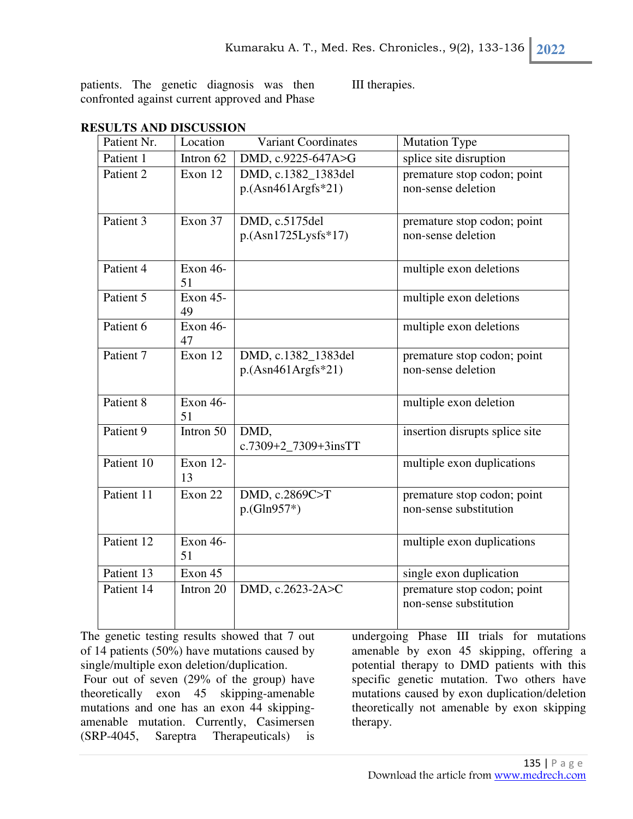patients. The genetic diagnosis was then confronted against current approved and Phase

III therapies.

| Patient Nr. | Location                    | <b>Variant Coordinates</b>                  | <b>Mutation Type</b>                                  |
|-------------|-----------------------------|---------------------------------------------|-------------------------------------------------------|
| Patient 1   | Intron 62                   | DMD, c.9225-647A>G                          | splice site disruption                                |
| Patient 2   | Exon 12                     | DMD, c.1382 1383del<br>$p.(Asn461Argfs*21)$ | premature stop codon; point<br>non-sense deletion     |
| Patient 3   | Exon 37                     | DMD, c.5175del<br>$p.(Asn1725Lysfs*17)$     | premature stop codon; point<br>non-sense deletion     |
| Patient 4   | Exon 46-<br>51              |                                             | multiple exon deletions                               |
| Patient 5   | Exon 45-<br>49              |                                             | multiple exon deletions                               |
| Patient 6   | Exon 46-<br>47              |                                             | multiple exon deletions                               |
| Patient 7   | $\overline{\text{Exon }12}$ | DMD, c.1382_1383del<br>$p.(Asn461Argfs*21)$ | premature stop codon; point<br>non-sense deletion     |
| Patient 8   | Exon 46-<br>51              |                                             | multiple exon deletion                                |
| Patient 9   | Intron 50                   | DMD,<br>c.7309+2_7309+3insTT                | insertion disrupts splice site                        |
| Patient 10  | Exon 12-<br>13              |                                             | multiple exon duplications                            |
| Patient 11  | Exon 22                     | DMD, c.2869C>T<br>$p.(Gln957*)$             | premature stop codon; point<br>non-sense substitution |
| Patient 12  | Exon 46-<br>51              |                                             | multiple exon duplications                            |
| Patient 13  | Exon 45                     |                                             | single exon duplication                               |
| Patient 14  | Intron 20                   | DMD, c.2623-2A>C                            | premature stop codon; point<br>non-sense substitution |

# **RESULTS AND DISCUSSION**

The genetic testing results showed that 7 out of 14 patients (50%) have mutations caused by single/multiple exon deletion/duplication.

 Four out of seven (29% of the group) have theoretically exon 45 skipping-amenable mutations and one has an exon 44 skippingamenable mutation. Currently, Casimersen (SRP-4045, Sareptra Therapeuticals) is

undergoing Phase III trials for mutations amenable by exon 45 skipping, offering a potential therapy to DMD patients with this specific genetic mutation. Two others have mutations caused by exon duplication/deletion theoretically not amenable by exon skipping therapy.